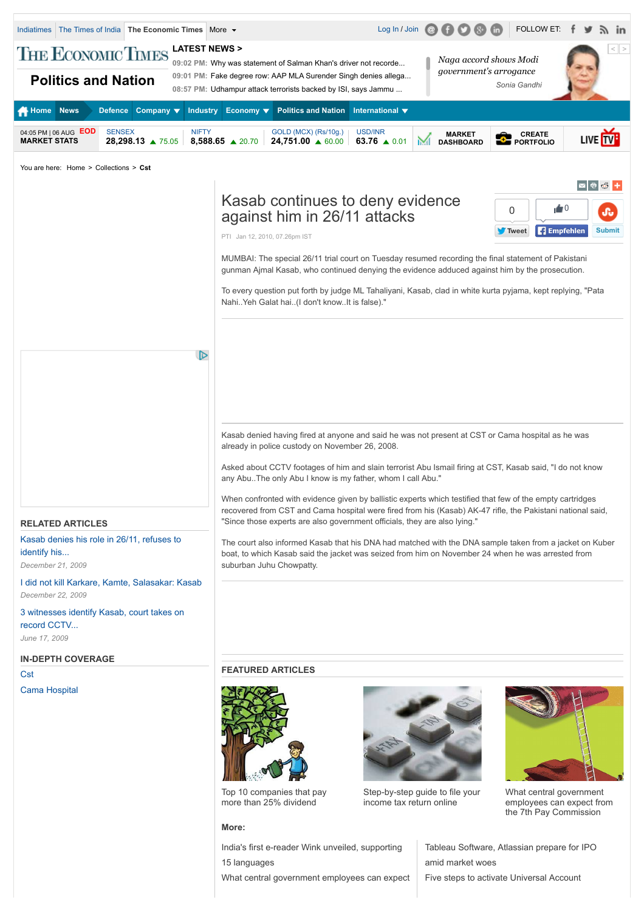

15 languages [What central government employees can expect](http://articles.economictimes.indiatimes.com/2015-03-29/news/60603022_1_7th-central-pay-commission-cabinet-secretary-indian-railways) amid market woes

[Five steps to activate Universal Account](http://articles.economictimes.indiatimes.com/2015-06-29/news/63937849_1_employees-provident-fund-organisation-universal-account-number-epf-accounts)